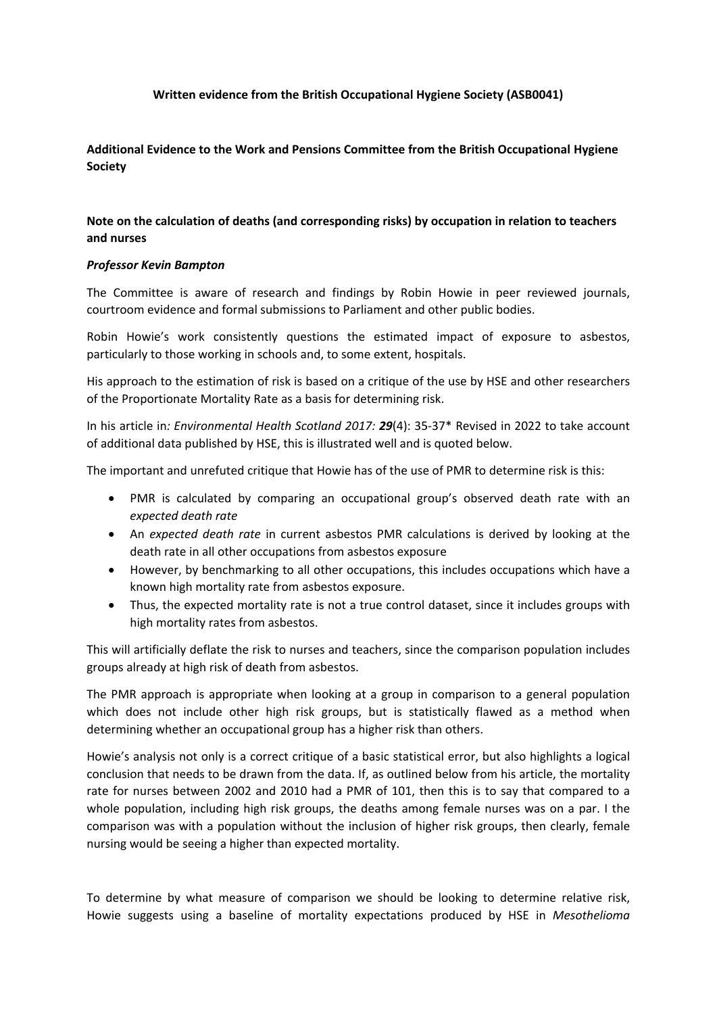### **Written evidence from the British Occupational Hygiene Society (ASB0041)**

# **Additional Evidence to the Work and Pensions Committee from the British Occupational Hygiene Society**

# **Note on the calculation of deaths (and corresponding risks) by occupation in relation to teachers and nurses**

### *Professor Kevin Bampton*

The Committee is aware of research and findings by Robin Howie in peer reviewed journals, courtroom evidence and formal submissions to Parliament and other public bodies.

Robin Howie's work consistently questions the estimated impact of exposure to asbestos, particularly to those working in schools and, to some extent, hospitals.

His approach to the estimation of risk is based on a critique of the use by HSE and other researchers of the Proportionate Mortality Rate as a basis for determining risk.

In his article in*: Environmental Health Scotland 2017: 29*(4): 35-37\* Revised in 2022 to take account of additional data published by HSE, this is illustrated well and is quoted below.

The important and unrefuted critique that Howie has of the use of PMR to determine risk is this:

- PMR is calculated by comparing an occupational group's observed death rate with an *expected death rate*
- An *expected death rate* in current asbestos PMR calculations is derived by looking at the death rate in all other occupations from asbestos exposure
- However, by benchmarking to all other occupations, this includes occupations which have a known high mortality rate from asbestos exposure.
- Thus, the expected mortality rate is not a true control dataset, since it includes groups with high mortality rates from asbestos.

This will artificially deflate the risk to nurses and teachers, since the comparison population includes groups already at high risk of death from asbestos.

The PMR approach is appropriate when looking at a group in comparison to a general population which does not include other high risk groups, but is statistically flawed as a method when determining whether an occupational group has a higher risk than others.

Howie's analysis not only is a correct critique of a basic statistical error, but also highlights a logical conclusion that needs to be drawn from the data. If, as outlined below from his article, the mortality rate for nurses between 2002 and 2010 had a PMR of 101, then this is to say that compared to a whole population, including high risk groups, the deaths among female nurses was on a par. I the comparison was with a population without the inclusion of higher risk groups, then clearly, female nursing would be seeing a higher than expected mortality.

To determine by what measure of comparison we should be looking to determine relative risk, Howie suggests using a baseline of mortality expectations produced by HSE in *Mesothelioma*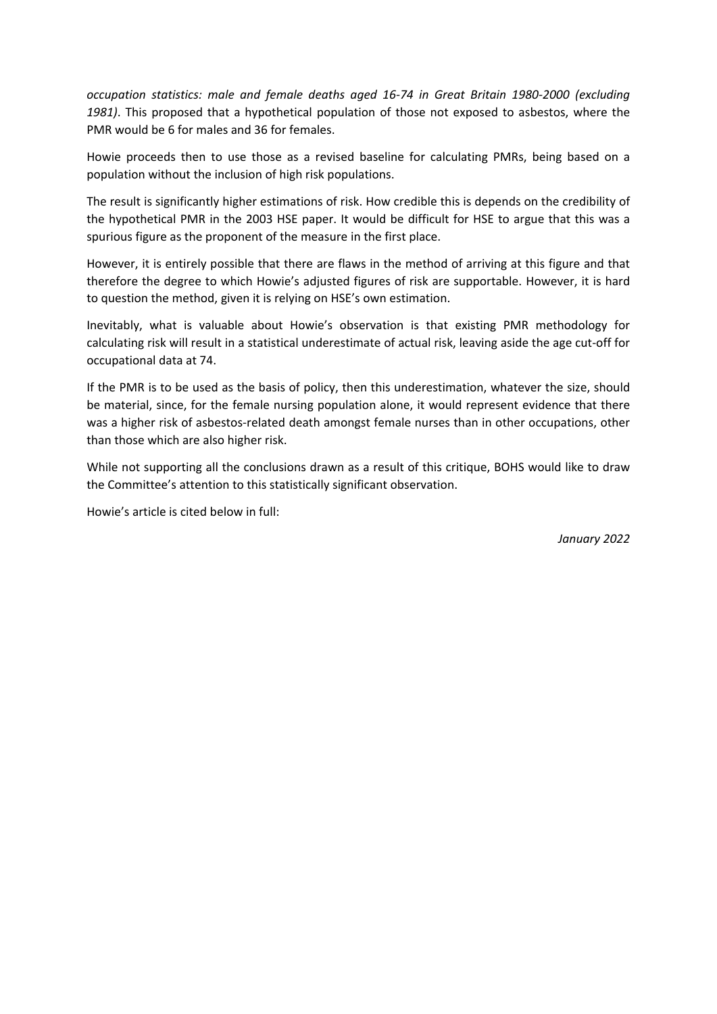*occupation statistics: male and female deaths aged 16-74 in Great Britain 1980-2000 (excluding 1981)*. This proposed that a hypothetical population of those not exposed to asbestos, where the PMR would be 6 for males and 36 for females.

Howie proceeds then to use those as a revised baseline for calculating PMRs, being based on a population without the inclusion of high risk populations.

The result is significantly higher estimations of risk. How credible this is depends on the credibility of the hypothetical PMR in the 2003 HSE paper. It would be difficult for HSE to argue that this was a spurious figure as the proponent of the measure in the first place.

However, it is entirely possible that there are flaws in the method of arriving at this figure and that therefore the degree to which Howie's adjusted figures of risk are supportable. However, it is hard to question the method, given it is relying on HSE's own estimation.

Inevitably, what is valuable about Howie's observation is that existing PMR methodology for calculating risk will result in a statistical underestimate of actual risk, leaving aside the age cut-off for occupational data at 74.

If the PMR is to be used as the basis of policy, then this underestimation, whatever the size, should be material, since, for the female nursing population alone, it would represent evidence that there was a higher risk of asbestos-related death amongst female nurses than in other occupations, other than those which are also higher risk.

While not supporting all the conclusions drawn as a result of this critique, BOHS would like to draw the Committee's attention to this statistically significant observation.

Howie's article is cited below in full:

*January 2022*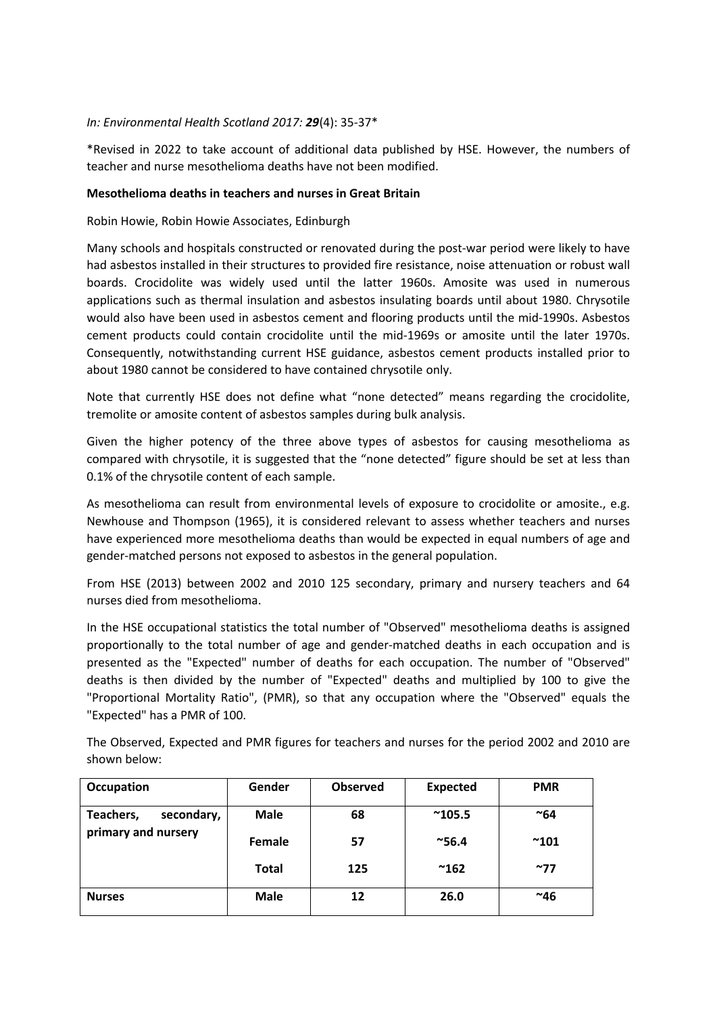### *In: Environmental Health Scotland 2017: 29*(4): 35-37\*

\*Revised in 2022 to take account of additional data published by HSE. However, the numbers of teacher and nurse mesothelioma deaths have not been modified.

### **Mesothelioma deaths in teachers and nurses in Great Britain**

Robin Howie, Robin Howie Associates, Edinburgh

Many schools and hospitals constructed or renovated during the post-war period were likely to have had asbestos installed in their structures to provided fire resistance, noise attenuation or robust wall boards. Crocidolite was widely used until the latter 1960s. Amosite was used in numerous applications such as thermal insulation and asbestos insulating boards until about 1980. Chrysotile would also have been used in asbestos cement and flooring products until the mid-1990s. Asbestos cement products could contain crocidolite until the mid-1969s or amosite until the later 1970s. Consequently, notwithstanding current HSE guidance, asbestos cement products installed prior to about 1980 cannot be considered to have contained chrysotile only.

Note that currently HSE does not define what "none detected" means regarding the crocidolite, tremolite or amosite content of asbestos samples during bulk analysis.

Given the higher potency of the three above types of asbestos for causing mesothelioma as compared with chrysotile, it is suggested that the "none detected" figure should be set at less than 0.1% of the chrysotile content of each sample.

As mesothelioma can result from environmental levels of exposure to crocidolite or amosite., e.g. Newhouse and Thompson (1965), it is considered relevant to assess whether teachers and nurses have experienced more mesothelioma deaths than would be expected in equal numbers of age and gender-matched persons not exposed to asbestos in the general population.

From HSE (2013) between 2002 and 2010 125 secondary, primary and nursery teachers and 64 nurses died from mesothelioma.

In the HSE occupational statistics the total number of "Observed" mesothelioma deaths is assigned proportionally to the total number of age and gender-matched deaths in each occupation and is presented as the "Expected" number of deaths for each occupation. The number of "Observed" deaths is then divided by the number of "Expected" deaths and multiplied by 100 to give the "Proportional Mortality Ratio", (PMR), so that any occupation where the "Observed" equals the "Expected" has a PMR of 100.

The Observed, Expected and PMR figures for teachers and nurses for the period 2002 and 2010 are shown below:

| Occupation                                     | Gender       | <b>Observed</b> | <b>Expected</b> | <b>PMR</b>   |
|------------------------------------------------|--------------|-----------------|-----------------|--------------|
| Teachers,<br>secondary,<br>primary and nursery | <b>Male</b>  | 68              | $^{\sim}105.5$  | $~\sim$ 64   |
|                                                | Female       | 57              | $^{\sim}56.4$   | $^{\sim}101$ |
|                                                | <b>Total</b> | 125             | $^{\sim}162$    | ~177         |
| <b>Nurses</b>                                  | <b>Male</b>  | 12              | 26.0            | $~^\sim$ 46  |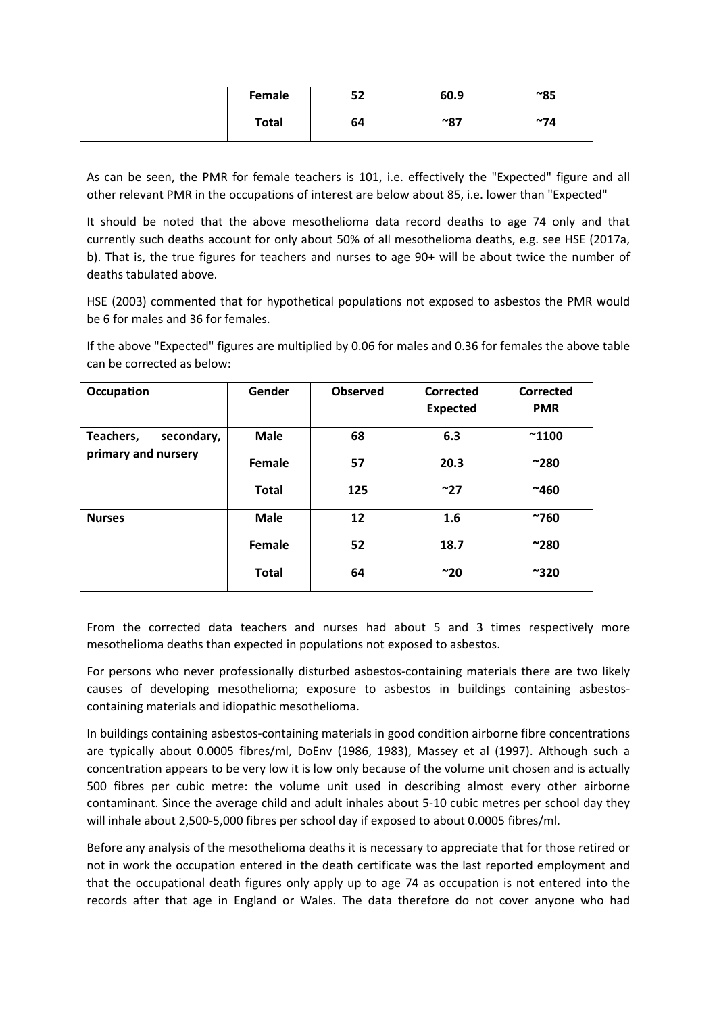| Female       | 52 | 60.9 | $^{\sim}85$ |
|--------------|----|------|-------------|
| <b>Total</b> | 64 | ~87  | ~74         |

As can be seen, the PMR for female teachers is 101, i.e. effectively the "Expected" figure and all other relevant PMR in the occupations of interest are below about 85, i.e. lower than "Expected"

It should be noted that the above mesothelioma data record deaths to age 74 only and that currently such deaths account for only about 50% of all mesothelioma deaths, e.g. see HSE (2017a, b). That is, the true figures for teachers and nurses to age 90+ will be about twice the number of deaths tabulated above.

HSE (2003) commented that for hypothetical populations not exposed to asbestos the PMR would be 6 for males and 36 for females.

If the above "Expected" figures are multiplied by 0.06 for males and 0.36 for females the above table can be corrected as below:

| <b>Occupation</b>                              | Gender       | <b>Observed</b> | Corrected       | Corrected      |
|------------------------------------------------|--------------|-----------------|-----------------|----------------|
|                                                |              |                 | <b>Expected</b> | <b>PMR</b>     |
| Teachers,<br>secondary,<br>primary and nursery | <b>Male</b>  | 68              | 6.3             | $^{\sim}$ 1100 |
|                                                | Female       | 57              | 20.3            | $^{\sim}280$   |
|                                                | <b>Total</b> | 125             | $~1$ 27         | $^{\sim}460$   |
| <b>Nurses</b>                                  | <b>Male</b>  | 12              | 1.6             | ~760           |
|                                                | Female       | 52              | 18.7            | $^{\sim}280$   |
|                                                | <b>Total</b> | 64              | $~\sim$ 20      | $^{\sim}320$   |

From the corrected data teachers and nurses had about 5 and 3 times respectively more mesothelioma deaths than expected in populations not exposed to asbestos.

For persons who never professionally disturbed asbestos-containing materials there are two likely causes of developing mesothelioma; exposure to asbestos in buildings containing asbestoscontaining materials and idiopathic mesothelioma.

In buildings containing asbestos-containing materials in good condition airborne fibre concentrations are typically about 0.0005 fibres/ml, DoEnv (1986, 1983), Massey et al (1997). Although such a concentration appears to be very low it is low only because of the volume unit chosen and is actually 500 fibres per cubic metre: the volume unit used in describing almost every other airborne contaminant. Since the average child and adult inhales about 5-10 cubic metres per school day they will inhale about 2,500-5,000 fibres per school day if exposed to about 0.0005 fibres/ml.

Before any analysis of the mesothelioma deaths it is necessary to appreciate that for those retired or not in work the occupation entered in the death certificate was the last reported employment and that the occupational death figures only apply up to age 74 as occupation is not entered into the records after that age in England or Wales. The data therefore do not cover anyone who had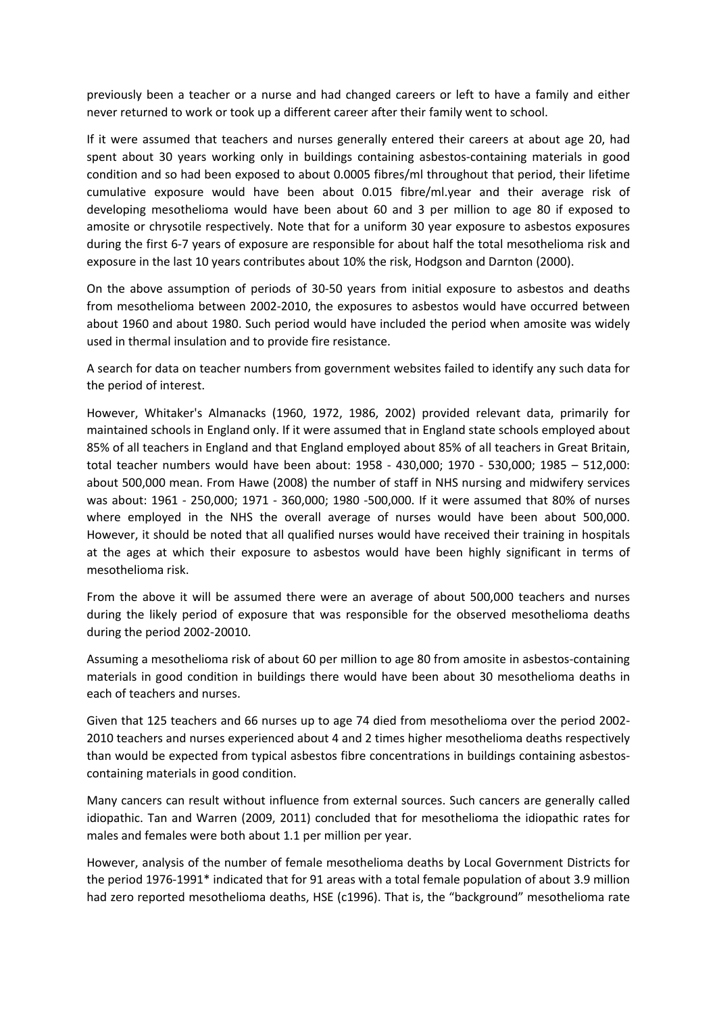previously been a teacher or a nurse and had changed careers or left to have a family and either never returned to work or took up a different career after their family went to school.

If it were assumed that teachers and nurses generally entered their careers at about age 20, had spent about 30 years working only in buildings containing asbestos-containing materials in good condition and so had been exposed to about 0.0005 fibres/ml throughout that period, their lifetime cumulative exposure would have been about 0.015 fibre/ml.year and their average risk of developing mesothelioma would have been about 60 and 3 per million to age 80 if exposed to amosite or chrysotile respectively. Note that for a uniform 30 year exposure to asbestos exposures during the first 6-7 years of exposure are responsible for about half the total mesothelioma risk and exposure in the last 10 years contributes about 10% the risk, Hodgson and Darnton (2000).

On the above assumption of periods of 30-50 years from initial exposure to asbestos and deaths from mesothelioma between 2002-2010, the exposures to asbestos would have occurred between about 1960 and about 1980. Such period would have included the period when amosite was widely used in thermal insulation and to provide fire resistance.

A search for data on teacher numbers from government websites failed to identify any such data for the period of interest.

However, Whitaker's Almanacks (1960, 1972, 1986, 2002) provided relevant data, primarily for maintained schools in England only. If it were assumed that in England state schools employed about 85% of all teachers in England and that England employed about 85% of all teachers in Great Britain, total teacher numbers would have been about: 1958 - 430,000; 1970 - 530,000; 1985 – 512,000: about 500,000 mean. From Hawe (2008) the number of staff in NHS nursing and midwifery services was about: 1961 - 250,000; 1971 - 360,000; 1980 -500,000. If it were assumed that 80% of nurses where employed in the NHS the overall average of nurses would have been about 500,000. However, it should be noted that all qualified nurses would have received their training in hospitals at the ages at which their exposure to asbestos would have been highly significant in terms of mesothelioma risk.

From the above it will be assumed there were an average of about 500,000 teachers and nurses during the likely period of exposure that was responsible for the observed mesothelioma deaths during the period 2002-20010.

Assuming a mesothelioma risk of about 60 per million to age 80 from amosite in asbestos-containing materials in good condition in buildings there would have been about 30 mesothelioma deaths in each of teachers and nurses.

Given that 125 teachers and 66 nurses up to age 74 died from mesothelioma over the period 2002- 2010 teachers and nurses experienced about 4 and 2 times higher mesothelioma deaths respectively than would be expected from typical asbestos fibre concentrations in buildings containing asbestoscontaining materials in good condition.

Many cancers can result without influence from external sources. Such cancers are generally called idiopathic. Tan and Warren (2009, 2011) concluded that for mesothelioma the idiopathic rates for males and females were both about 1.1 per million per year.

However, analysis of the number of female mesothelioma deaths by Local Government Districts for the period 1976-1991\* indicated that for 91 areas with a total female population of about 3.9 million had zero reported mesothelioma deaths, HSE (c1996). That is, the "background" mesothelioma rate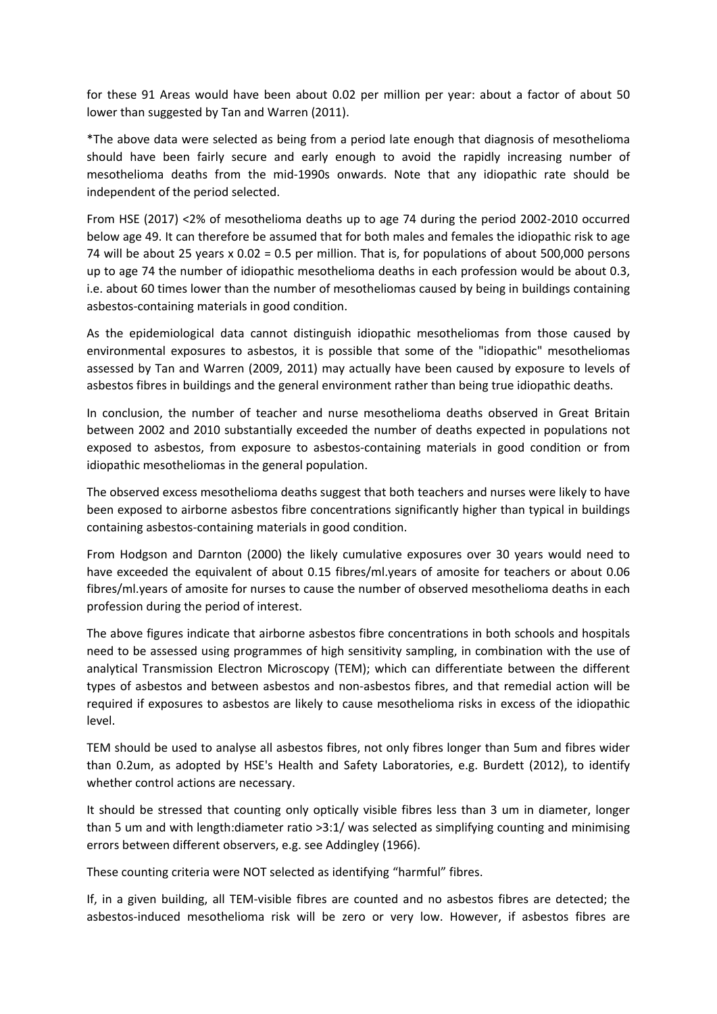for these 91 Areas would have been about 0.02 per million per year: about a factor of about 50 lower than suggested by Tan and Warren (2011).

\*The above data were selected as being from a period late enough that diagnosis of mesothelioma should have been fairly secure and early enough to avoid the rapidly increasing number of mesothelioma deaths from the mid-1990s onwards. Note that any idiopathic rate should be independent of the period selected.

From HSE (2017) <2% of mesothelioma deaths up to age 74 during the period 2002-2010 occurred below age 49. It can therefore be assumed that for both males and females the idiopathic risk to age 74 will be about 25 years x 0.02 = 0.5 per million. That is, for populations of about 500,000 persons up to age 74 the number of idiopathic mesothelioma deaths in each profession would be about 0.3, i.e. about 60 times lower than the number of mesotheliomas caused by being in buildings containing asbestos-containing materials in good condition.

As the epidemiological data cannot distinguish idiopathic mesotheliomas from those caused by environmental exposures to asbestos, it is possible that some of the "idiopathic" mesotheliomas assessed by Tan and Warren (2009, 2011) may actually have been caused by exposure to levels of asbestos fibres in buildings and the general environment rather than being true idiopathic deaths.

In conclusion, the number of teacher and nurse mesothelioma deaths observed in Great Britain between 2002 and 2010 substantially exceeded the number of deaths expected in populations not exposed to asbestos, from exposure to asbestos-containing materials in good condition or from idiopathic mesotheliomas in the general population.

The observed excess mesothelioma deaths suggest that both teachers and nurses were likely to have been exposed to airborne asbestos fibre concentrations significantly higher than typical in buildings containing asbestos-containing materials in good condition.

From Hodgson and Darnton (2000) the likely cumulative exposures over 30 years would need to have exceeded the equivalent of about 0.15 fibres/ml.years of amosite for teachers or about 0.06 fibres/ml.years of amosite for nurses to cause the number of observed mesothelioma deaths in each profession during the period of interest.

The above figures indicate that airborne asbestos fibre concentrations in both schools and hospitals need to be assessed using programmes of high sensitivity sampling, in combination with the use of analytical Transmission Electron Microscopy (TEM); which can differentiate between the different types of asbestos and between asbestos and non-asbestos fibres, and that remedial action will be required if exposures to asbestos are likely to cause mesothelioma risks in excess of the idiopathic level.

TEM should be used to analyse all asbestos fibres, not only fibres longer than 5um and fibres wider than 0.2um, as adopted by HSE's Health and Safety Laboratories, e.g. Burdett (2012), to identify whether control actions are necessary.

It should be stressed that counting only optically visible fibres less than 3 um in diameter, longer than 5 um and with length:diameter ratio >3:1/ was selected as simplifying counting and minimising errors between different observers, e.g. see Addingley (1966).

These counting criteria were NOT selected as identifying "harmful" fibres.

If, in a given building, all TEM-visible fibres are counted and no asbestos fibres are detected; the asbestos-induced mesothelioma risk will be zero or very low. However, if asbestos fibres are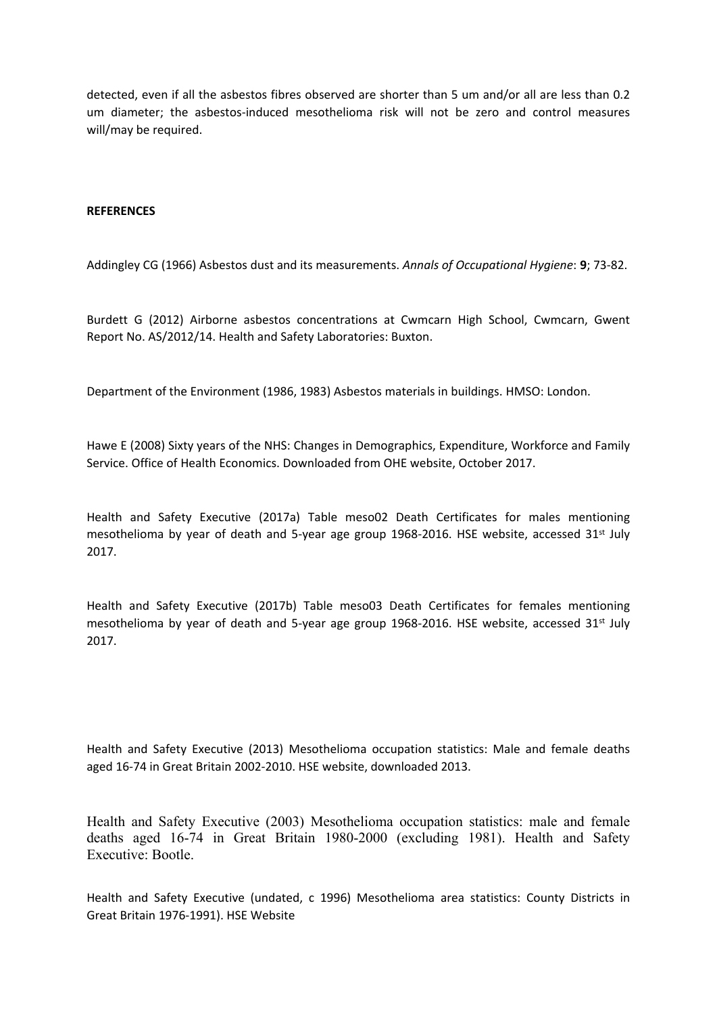detected, even if all the asbestos fibres observed are shorter than 5 um and/or all are less than 0.2 um diameter; the asbestos-induced mesothelioma risk will not be zero and control measures will/may be required.

#### **REFERENCES**

Addingley CG (1966) Asbestos dust and its measurements. *Annals of Occupational Hygiene*: **9**; 73-82.

Burdett G (2012) Airborne asbestos concentrations at Cwmcarn High School, Cwmcarn, Gwent Report No. AS/2012/14. Health and Safety Laboratories: Buxton.

Department of the Environment (1986, 1983) Asbestos materials in buildings. HMSO: London.

Hawe E (2008) Sixty years of the NHS: Changes in Demographics, Expenditure, Workforce and Family Service. Office of Health Economics. Downloaded from OHE website, October 2017.

Health and Safety Executive (2017a) Table meso02 Death Certificates for males mentioning mesothelioma by year of death and 5-year age group 1968-2016. HSE website, accessed  $31<sup>st</sup>$  July 2017.

Health and Safety Executive (2017b) Table meso03 Death Certificates for females mentioning mesothelioma by year of death and 5-year age group 1968-2016. HSE website, accessed  $31<sup>st</sup>$  July 2017.

Health and Safety Executive (2013) Mesothelioma occupation statistics: Male and female deaths aged 16-74 in Great Britain 2002-2010. HSE website, downloaded 2013.

Health and Safety Executive (2003) Mesothelioma occupation statistics: male and female deaths aged 16-74 in Great Britain 1980-2000 (excluding 1981). Health and Safety Executive: Bootle.

Health and Safety Executive (undated, c 1996) Mesothelioma area statistics: County Districts in Great Britain 1976-1991). HSE Website